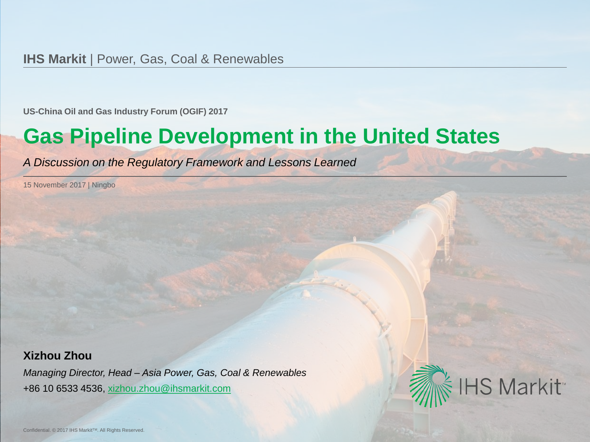**US-China Oil and Gas Industry Forum (OGIF) 2017**

# **Gas Pipeline Development in the United States**

*A Discussion on the Regulatory Framework and Lessons Learned*

15 November 2017 | Ningbo

#### **Xizhou Zhou**

*Managing Director, Head – Asia Power, Gas, Coal & Renewables* +86 10 6533 4536, [xizhou.zhou@ihsmarkit.com](mailto:first.last@ihs.com)

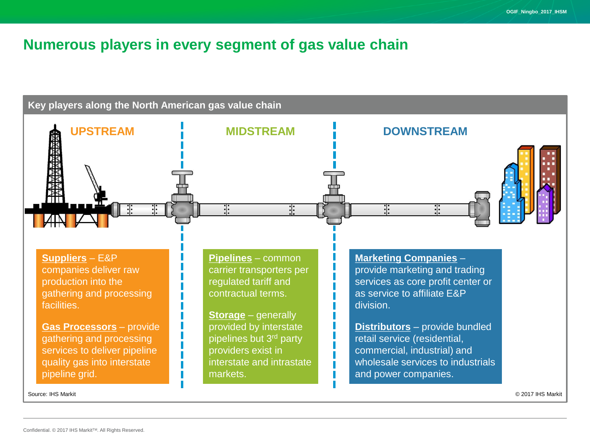#### **Numerous players in every segment of gas value chain**

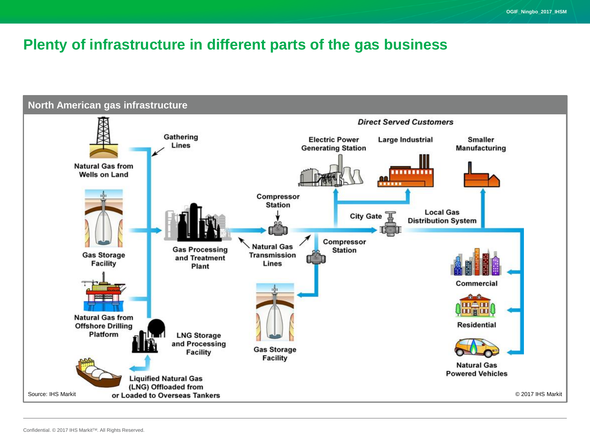# **Plenty of infrastructure in different parts of the gas business**

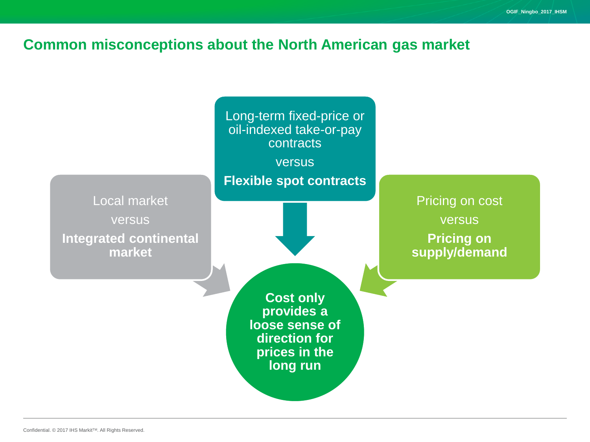#### **Common misconceptions about the North American gas market**

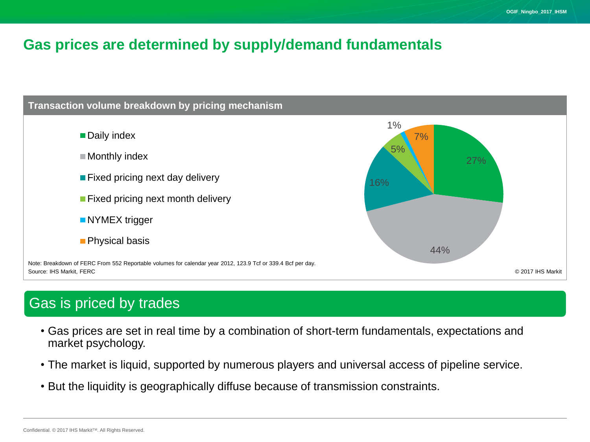## **Gas prices are determined by supply/demand fundamentals**



# Gas is priced by trades

- Gas prices are set in real time by a combination of short-term fundamentals, expectations and market psychology.
- The market is liquid, supported by numerous players and universal access of pipeline service.
- But the liquidity is geographically diffuse because of transmission constraints.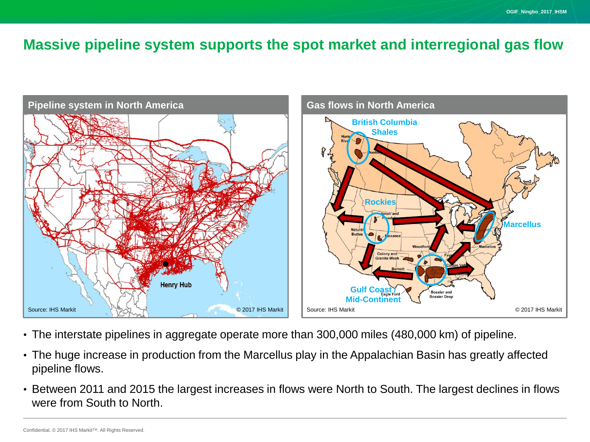#### **Massive pipeline system supports the spot market and interregional gas flow**



- The interstate pipelines in aggregate operate more than 300,000 miles (480,000 km) of pipeline.
- The huge increase in production from the Marcellus play in the Appalachian Basin has greatly affected pipeline flows.
- Between 2011 and 2015 the largest increases in flows were North to South. The largest declines in flows were from South to North.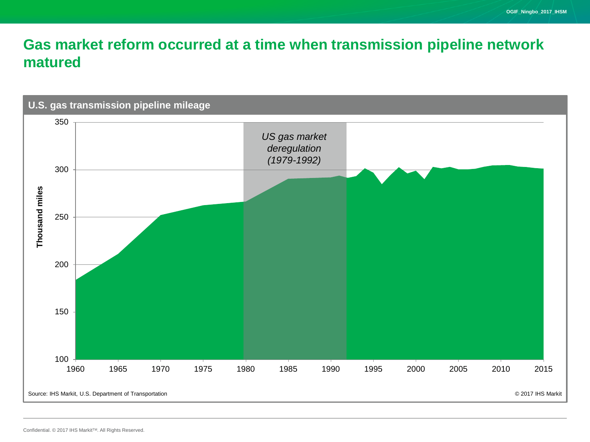# **Gas market reform occurred at a time when transmission pipeline network matured**

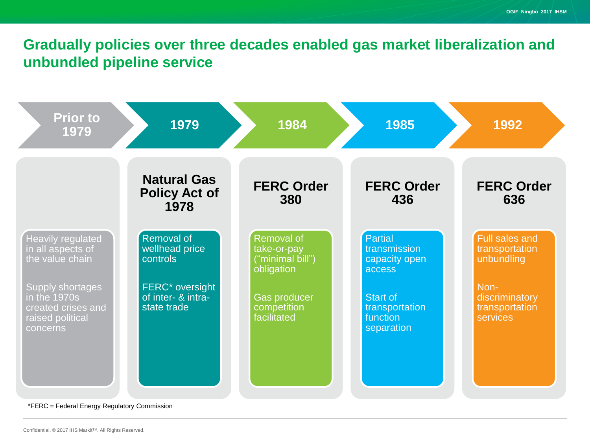# **Gradually policies over three decades enabled gas market liberalization and unbundled pipeline service**

| <b>Prior to</b><br>1979                                                                       | 1979                                                             | 1984                                                        | 1985                                                 | 1992                                                  |
|-----------------------------------------------------------------------------------------------|------------------------------------------------------------------|-------------------------------------------------------------|------------------------------------------------------|-------------------------------------------------------|
|                                                                                               | <b>Natural Gas</b><br><b>Policy Act of</b><br>1978               | <b>FERC Order</b><br>380                                    | <b>FERC Order</b><br>436                             | <b>FERC Order</b><br>636                              |
| <b>Heavily regulated</b><br>in all aspects of<br>the value chain                              | Removal of<br>wellhead price<br>controls                         | Removal of<br>take-or-pay<br>("minimal bill")<br>obligation | Partial<br>transmission<br>capacity open<br>access   | <b>Full sales and</b><br>transportation<br>unbundling |
| <b>Supply shortages</b><br>in the 1970s<br>created crises and<br>raised political<br>concerns | FERC <sup>*</sup> oversight<br>of inter- & intra-<br>state trade | <b>Gas producer</b><br>competition<br>facilitated           | Start of<br>transportation<br>function<br>separation | Non-<br>discriminatory<br>transportation<br>services  |

\*FERC = Federal Energy Regulatory Commission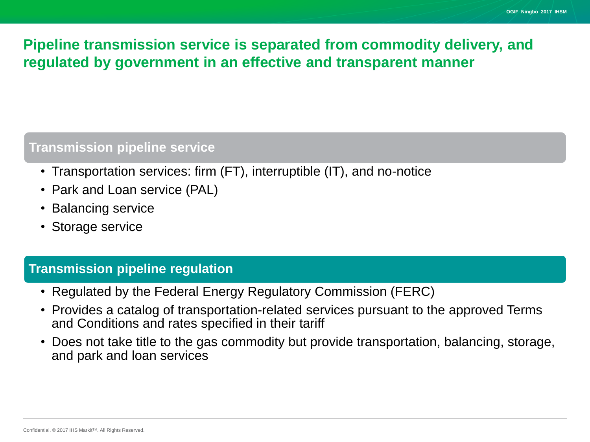# **Pipeline transmission service is separated from commodity delivery, and regulated by government in an effective and transparent manner**

#### **Transmission pipeline service**

- Transportation services: firm (FT), interruptible (IT), and no-notice
- Park and Loan service (PAL)
- Balancing service
- Storage service

#### **Transmission pipeline regulation**

- Regulated by the Federal Energy Regulatory Commission (FERC)
- Provides a catalog of transportation-related services pursuant to the approved Terms and Conditions and rates specified in their tariff
- Does not take title to the gas commodity but provide transportation, balancing, storage, and park and loan services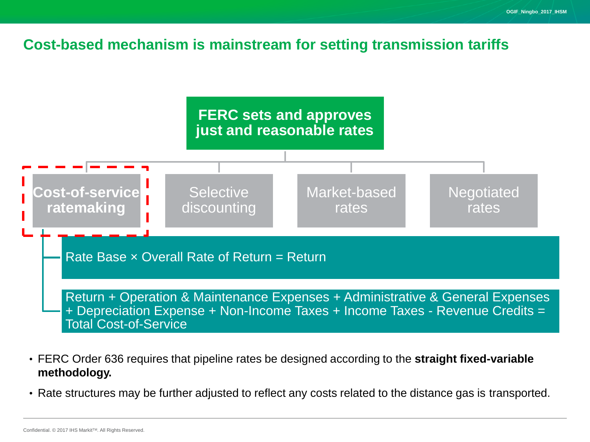#### **Cost-based mechanism is mainstream for setting transmission tariffs**



- FERC Order 636 requires that pipeline rates be designed according to the **straight fixed-variable methodology.**
- Rate structures may be further adjusted to reflect any costs related to the distance gas is transported.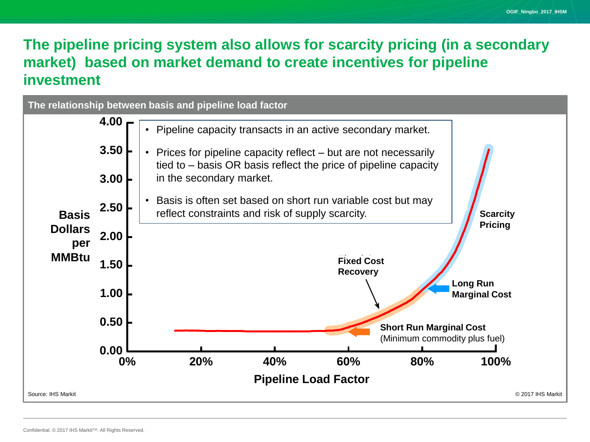# **The pipeline pricing system also allows for scarcity pricing (in a secondary market) based on market demand to create incentives for pipeline investment**

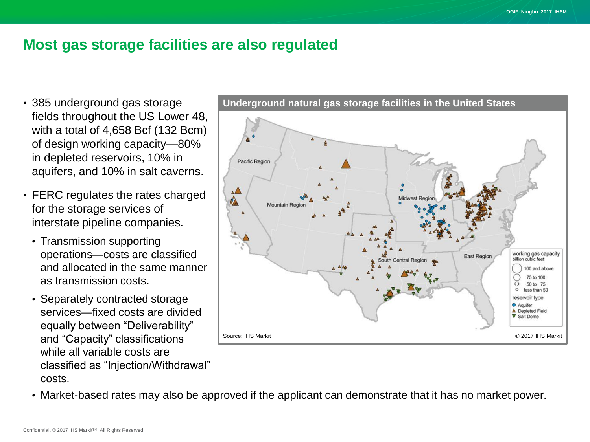#### **Most gas storage facilities are also regulated**

- 385 underground gas storage fields throughout the US Lower 48, with a total of 4,658 Bcf (132 Bcm) of design working capacity—80% in depleted reservoirs, 10% in aquifers, and 10% in salt caverns.
- FERC regulates the rates charged for the storage services of interstate pipeline companies.
	- Transmission supporting operations—costs are classified and allocated in the same manner as transmission costs.
	- Separately contracted storage services—fixed costs are divided equally between "Deliverability" and "Capacity" classifications while all variable costs are classified as "Injection/Withdrawal" costs.



**Underground natural gas storage facilities in the United States**

• Market-based rates may also be approved if the applicant can demonstrate that it has no market power.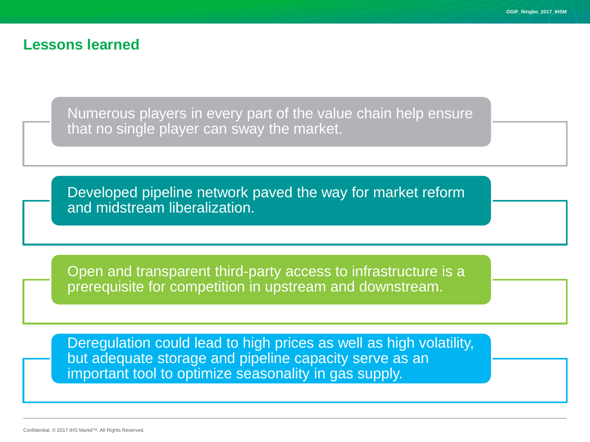#### **Lessons learned**

Numerous players in every part of the value chain help ensure that no single player can sway the market.

Developed pipeline network paved the way for market reform and midstream liberalization.

Open and transparent third-party access to infrastructure is a prerequisite for competition in upstream and downstream.

Deregulation could lead to high prices as well as high volatility, but adequate storage and pipeline capacity serve as an important tool to optimize seasonality in gas supply.